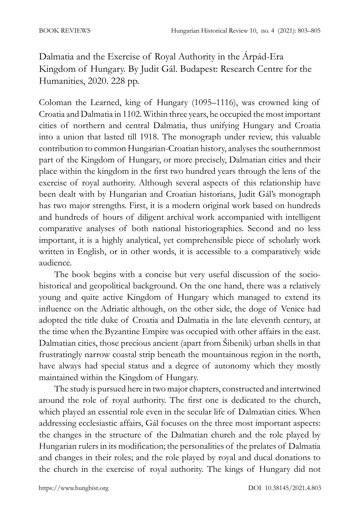Dalmatia and the Exercise of Royal Authority in the Árpád-Era Kingdom of Hungary. By Judit Gál. Budapest: Research Centre for the Humanities, 2020. 228 pp.

Coloman the Learned, king of Hungary (1095–1116), was crowned king of Croatia and Dalmatia in 1102. Within three years, he occupied the most important cities of northern and central Dalmatia, thus unifying Hungary and Croatia into a union that lasted till 1918. The monograph under review, this valuable contribution to common Hungarian-Croatian history, analyses the southernmost part of the Kingdom of Hungary, or more precisely, Dalmatian cities and their place within the kingdom in the first two hundred years through the lens of the exercise of royal authority. Although several aspects of this relationship have been dealt with by Hungarian and Croatian historians, Judit Gál's monograph has two major strengths. First, it is a modern original work based on hundreds and hundreds of hours of diligent archival work accompanied with intelligent comparative analyses of both national historiographies. Second and no less important, it is a highly analytical, yet comprehensible piece of scholarly work written in English, or in other words, it is accessible to a comparatively wide audience.

The book begins with a concise but very useful discussion of the sociohistorical and geopolitical background. On the one hand, there was a relatively young and quite active Kingdom of Hungary which managed to extend its influence on the Adriatic although, on the other side, the doge of Venice had adopted the title duke of Croatia and Dalmatia in the late eleventh century, at the time when the Byzantine Empire was occupied with other affairs in the east. Dalmatian cities, those precious ancient (apart from Šibenik) urban shells in that frustratingly narrow coastal strip beneath the mountainous region in the north, have always had special status and a degree of autonomy which they mostly maintained within the Kingdom of Hungary.

The study is pursued here in two major chapters, constructed and intertwined around the role of royal authority. The first one is dedicated to the church, which played an essential role even in the secular life of Dalmatian cities. When addressing ecclesiastic affairs, Gál focuses on the three most important aspects: the changes in the structure of the Dalmatian church and the role played by Hungarian rulers in its modification; the personalities of the prelates of Dalmatia and changes in their roles; and the role played by royal and ducal donations to the church in the exercise of royal authority. The kings of Hungary did not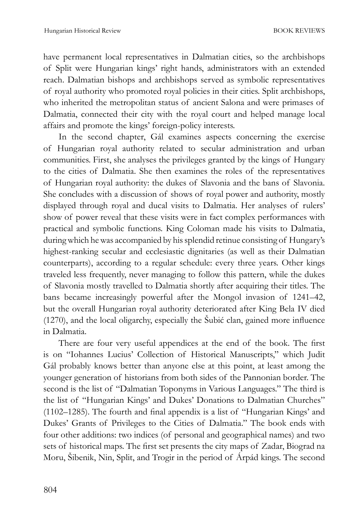have permanent local representatives in Dalmatian cities, so the archbishops of Split were Hungarian kings' right hands, administrators with an extended reach. Dalmatian bishops and archbishops served as symbolic representatives of royal authority who promoted royal policies in their cities. Split archbishops, who inherited the metropolitan status of ancient Salona and were primases of Dalmatia, connected their city with the royal court and helped manage local affairs and promote the kings' foreign-policy interests.

In the second chapter, Gál examines aspects concerning the exercise of Hungarian royal authority related to secular administration and urban communities. First, she analyses the privileges granted by the kings of Hungary to the cities of Dalmatia. She then examines the roles of the representatives of Hungarian royal authority: the dukes of Slavonia and the bans of Slavonia. She concludes with a discussion of shows of royal power and authority, mostly displayed through royal and ducal visits to Dalmatia. Her analyses of rulers' show of power reveal that these visits were in fact complex performances with practical and symbolic functions. King Coloman made his visits to Dalmatia, during which he was accompanied by his splendid retinue consisting of Hungary's highest-ranking secular and ecclesiastic dignitaries (as well as their Dalmatian counterparts), according to a regular schedule: every three years. Other kings traveled less frequently, never managing to follow this pattern, while the dukes of Slavonia mostly travelled to Dalmatia shortly after acquiring their titles. The bans became increasingly powerful after the Mongol invasion of 1241–42, but the overall Hungarian royal authority deteriorated after King Bela IV died (1270), and the local oligarchy, especially the Šubić clan, gained more influence in Dalmatia.

There are four very useful appendices at the end of the book. The first is on "Iohannes Lucius' Collection of Historical Manuscripts," which Judit Gál probably knows better than anyone else at this point, at least among the younger generation of historians from both sides of the Pannonian border. The second is the list of "Dalmatian Toponyms in Various Languages." The third is the list of "Hungarian Kings' and Dukes' Donations to Dalmatian Churches" (1102–1285). The fourth and final appendix is a list of "Hungarian Kings' and Dukes' Grants of Privileges to the Cities of Dalmatia." The book ends with four other additions: two indices (of personal and geographical names) and two sets of historical maps. The first set presents the city maps of Zadar, Biograd na Moru, Šibenik, Nin, Split, and Trogir in the period of Árpád kings. The second